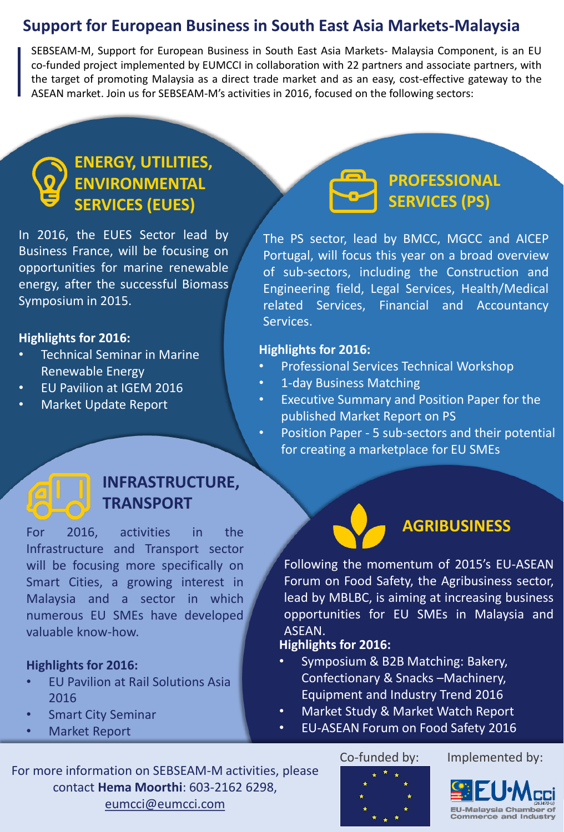## **Support for European Business in South East Asia Markets-Malaysia**

SEBSEAM-M, Support for European Business in South East Asia Markets- Malaysia Component, is an EU co-funded project implemented by EUMCCI in collaboration with 22 partners and associate partners, with the target of promoting Malaysia as a direct trade market and as an easy, cost-effective gateway to the ASEAN market. Join us for SEBSEAM-M's activities in 2016, focused on the following sectors:

## **ENERGY, UTILITIES, ENVIRONMENTAL SERVICES (EUES)**

In 2016, the EUES Sector lead by Business France, will be focusing on opportunities for marine renewable energy, after the successful Biomass Symposium in 2015.

### **Highlights for 2016:**

- Technical Seminar in Marine Renewable Energy
- EU Pavilion at IGEM 2016
- Market Update Report

## **PROFESSIONAL SERVICES (PS)**

The PS sector, lead by BMCC, MGCC and AICEP Portugal, will focus this year on a broad overview of sub-sectors, including the Construction and Engineering field, Legal Services, Health/Medical related Services, Financial and Accountancy Services.

### **Highlights for 2016:**

- Professional Services Technical Workshop
- 1-day Business Matching
- Executive Summary and Position Paper for the published Market Report on PS
- Position Paper 5 sub-sectors and their potential for creating a marketplace for EU SMEs

## **INFRASTRUCTURE, TRANSPORT**

For 2016, activities in the Infrastructure and Transport sector will be focusing more specifically on Smart Cities, a growing interest in Malaysia and a sector in which numerous EU SMEs have developed valuable know-how.

### **Highlights for 2016:**

- EU Pavilion at Rail Solutions Asia 2016
- **Smart City Seminar**
- Market Report

## **AGRIBUSINESS**

Following the momentum of 2015's EU-ASEAN Forum on Food Safety, the Agribusiness sector, lead by MBLBC, is aiming at increasing business opportunities for EU SMEs in Malaysia and ASEAN.

### **Highlights for 2016:**

- Symposium & B2B Matching: Bakery, Confectionary & Snacks –Machinery, Equipment and Industry Trend 2016
- Market Study & Market Watch Report
- EU-ASEAN Forum on Food Safety 2016

For more information on SEBSEAM-M activities, please contact **Hema Moorthi**: 603-2162 6298, eumcci@eumcci.com

### Co-funded by: Implemented by: